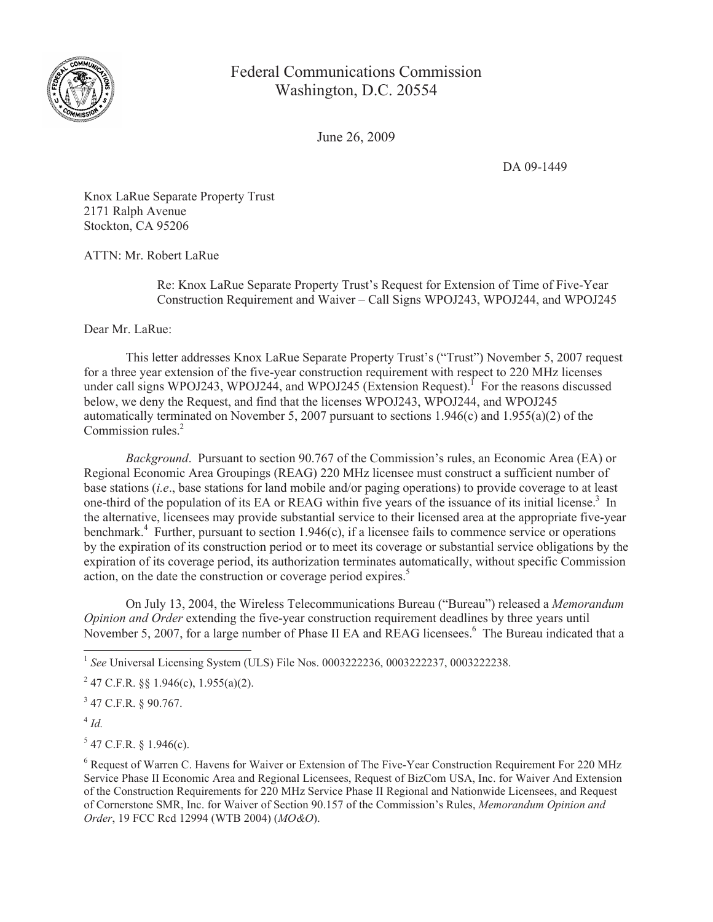

Federal Communications Commission Washington, D.C. 20554

June 26, 2009

DA 09-1449

Knox LaRue Separate Property Trust 2171 Ralph Avenue Stockton, CA 95206

ATTN: Mr. Robert LaRue

Re: Knox LaRue Separate Property Trust's Request for Extension of Time of Five-Year Construction Requirement and Waiver – Call Signs WPOJ243, WPOJ244, and WPOJ245

Dear Mr. LaRue:

This letter addresses Knox LaRue Separate Property Trust's ("Trust") November 5, 2007 request for a three year extension of the five-year construction requirement with respect to 220 MHz licenses under call signs WPOJ243, WPOJ244, and WPOJ245 (Extension Request).<sup> $\Gamma$ </sup> For the reasons discussed below, we deny the Request, and find that the licenses WPOJ243, WPOJ244, and WPOJ245 automatically terminated on November 5, 2007 pursuant to sections 1.946(c) and 1.955(a)(2) of the Commission rules.<sup>2</sup>

*Background*. Pursuant to section 90.767 of the Commission's rules, an Economic Area (EA) or Regional Economic Area Groupings (REAG) 220 MHz licensee must construct a sufficient number of base stations (*i.e*., base stations for land mobile and/or paging operations) to provide coverage to at least one-third of the population of its EA or REAG within five years of the issuance of its initial license.<sup>3</sup> In the alternative, licensees may provide substantial service to their licensed area at the appropriate five-year benchmark.<sup>4</sup> Further, pursuant to section 1.946(c), if a licensee fails to commence service or operations by the expiration of its construction period or to meet its coverage or substantial service obligations by the expiration of its coverage period, its authorization terminates automatically, without specific Commission action, on the date the construction or coverage period expires.<sup>5</sup>

On July 13, 2004, the Wireless Telecommunications Bureau ("Bureau") released a *Memorandum Opinion and Order* extending the five-year construction requirement deadlines by three years until November 5, 2007, for a large number of Phase II EA and REAG licensees.<sup>6</sup> The Bureau indicated that a

1 *See* Universal Licensing System (ULS) File Nos. 0003222236, 0003222237, 0003222238.

 $2^{2}$  47 C.F.R. §§ 1.946(c), 1.955(a)(2).

3 47 C.F.R. § 90.767.

4 *Id.*

 $5$  47 C.F.R. § 1.946(c).

<sup>6</sup> Request of Warren C. Havens for Waiver or Extension of The Five-Year Construction Requirement For 220 MHz Service Phase II Economic Area and Regional Licensees, Request of BizCom USA, Inc. for Waiver And Extension of the Construction Requirements for 220 MHz Service Phase II Regional and Nationwide Licensees, and Request of Cornerstone SMR, Inc. for Waiver of Section 90.157 of the Commission's Rules, *Memorandum Opinion and Order*, 19 FCC Rcd 12994 (WTB 2004) (*MO&O*).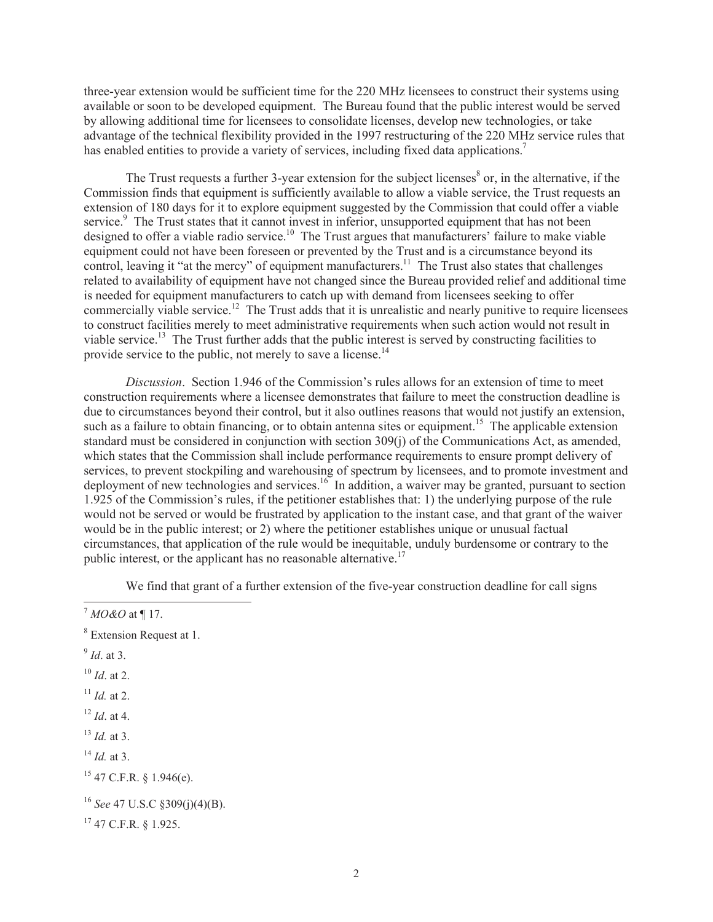three-year extension would be sufficient time for the 220 MHz licensees to construct their systems using available or soon to be developed equipment. The Bureau found that the public interest would be served by allowing additional time for licensees to consolidate licenses, develop new technologies, or take advantage of the technical flexibility provided in the 1997 restructuring of the 220 MHz service rules that has enabled entities to provide a variety of services, including fixed data applications.<sup>7</sup>

The Trust requests a further 3-year extension for the subject licenses<sup>8</sup> or, in the alternative, if the Commission finds that equipment is sufficiently available to allow a viable service, the Trust requests an extension of 180 days for it to explore equipment suggested by the Commission that could offer a viable service.<sup>9</sup> The Trust states that it cannot invest in inferior, unsupported equipment that has not been designed to offer a viable radio service.<sup>10</sup> The Trust argues that manufacturers' failure to make viable equipment could not have been foreseen or prevented by the Trust and is a circumstance beyond its control, leaving it "at the mercy" of equipment manufacturers.<sup>11</sup> The Trust also states that challenges related to availability of equipment have not changed since the Bureau provided relief and additional time is needed for equipment manufacturers to catch up with demand from licensees seeking to offer commercially viable service.<sup>12</sup> The Trust adds that it is unrealistic and nearly punitive to require licensees to construct facilities merely to meet administrative requirements when such action would not result in viable service.<sup>13</sup> The Trust further adds that the public interest is served by constructing facilities to provide service to the public, not merely to save a license.<sup>14</sup>

*Discussion*. Section 1.946 of the Commission's rules allows for an extension of time to meet construction requirements where a licensee demonstrates that failure to meet the construction deadline is due to circumstances beyond their control, but it also outlines reasons that would not justify an extension, such as a failure to obtain financing, or to obtain antenna sites or equipment.<sup>15</sup> The applicable extension standard must be considered in conjunction with section 309(j) of the Communications Act, as amended, which states that the Commission shall include performance requirements to ensure prompt delivery of services, to prevent stockpiling and warehousing of spectrum by licensees, and to promote investment and deployment of new technologies and services.<sup>16</sup> In addition, a waiver may be granted, pursuant to section 1.925 of the Commission's rules, if the petitioner establishes that: 1) the underlying purpose of the rule would not be served or would be frustrated by application to the instant case, and that grant of the waiver would be in the public interest; or 2) where the petitioner establishes unique or unusual factual circumstances, that application of the rule would be inequitable, unduly burdensome or contrary to the public interest, or the applicant has no reasonable alternative.<sup>17</sup>

We find that grant of a further extension of the five-year construction deadline for call signs

9 *Id*. at 3.

<sup>10</sup> *Id*. at 2.

- $11$  *Id.* at 2.
- $12$  *Id.* at 4.

- <sup>14</sup> *Id.* at 3.
- <sup>15</sup> 47 C.F.R. § 1.946(e).

<sup>7</sup> *MO&O* at ¶ 17.

<sup>8</sup> Extension Request at 1.

<sup>13</sup> *Id.* at 3.

<sup>16</sup> *See* 47 U.S.C §309(j)(4)(B).

 $17$  47 C.F.R.  $8$  1.925.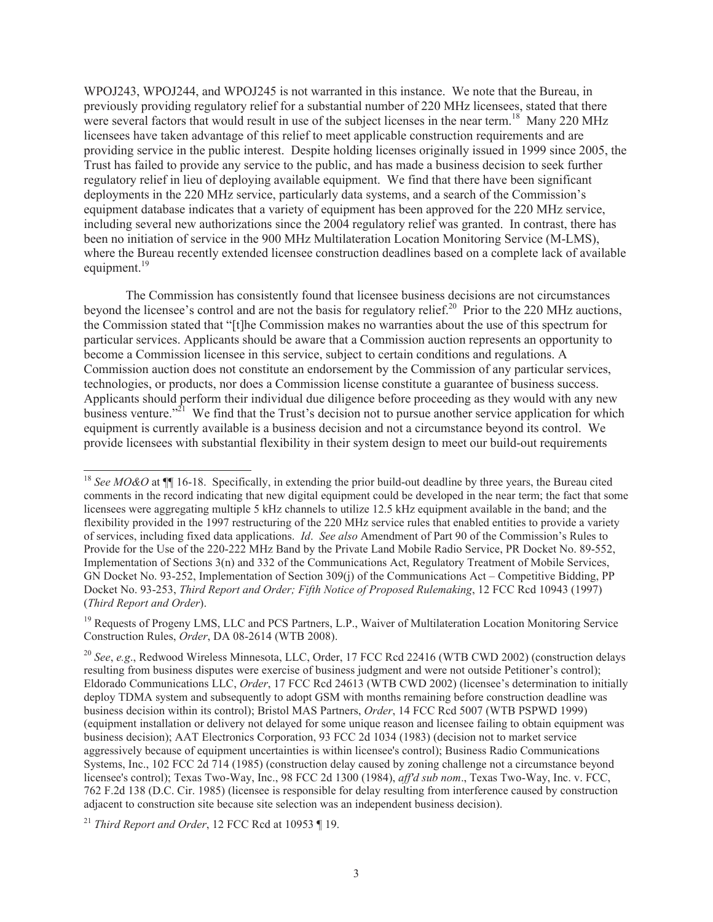WPOJ243, WPOJ244, and WPOJ245 is not warranted in this instance. We note that the Bureau, in previously providing regulatory relief for a substantial number of 220 MHz licensees, stated that there were several factors that would result in use of the subject licenses in the near term.<sup>18</sup> Many 220 MHz licensees have taken advantage of this relief to meet applicable construction requirements and are providing service in the public interest. Despite holding licenses originally issued in 1999 since 2005, the Trust has failed to provide any service to the public, and has made a business decision to seek further regulatory relief in lieu of deploying available equipment. We find that there have been significant deployments in the 220 MHz service, particularly data systems, and a search of the Commission's equipment database indicates that a variety of equipment has been approved for the 220 MHz service, including several new authorizations since the 2004 regulatory relief was granted. In contrast, there has been no initiation of service in the 900 MHz Multilateration Location Monitoring Service (M-LMS), where the Bureau recently extended licensee construction deadlines based on a complete lack of available equipment. $^{19}$ 

The Commission has consistently found that licensee business decisions are not circumstances beyond the licensee's control and are not the basis for regulatory relief.<sup>20</sup> Prior to the 220 MHz auctions, the Commission stated that "[t]he Commission makes no warranties about the use of this spectrum for particular services. Applicants should be aware that a Commission auction represents an opportunity to become a Commission licensee in this service, subject to certain conditions and regulations. A Commission auction does not constitute an endorsement by the Commission of any particular services, technologies, or products, nor does a Commission license constitute a guarantee of business success. Applicants should perform their individual due diligence before proceeding as they would with any new business venture.<sup>221</sup> We find that the Trust's decision not to pursue another service application for which equipment is currently available is a business decision and not a circumstance beyond its control. We provide licensees with substantial flexibility in their system design to meet our build-out requirements

<sup>&</sup>lt;sup>18</sup> *See MO&O* at **[14.**] 16-18. Specifically, in extending the prior build-out deadline by three years, the Bureau cited comments in the record indicating that new digital equipment could be developed in the near term; the fact that some licensees were aggregating multiple 5 kHz channels to utilize 12.5 kHz equipment available in the band; and the flexibility provided in the 1997 restructuring of the 220 MHz service rules that enabled entities to provide a variety of services, including fixed data applications. *Id*. *See also* Amendment of Part 90 of the Commission's Rules to Provide for the Use of the 220-222 MHz Band by the Private Land Mobile Radio Service, PR Docket No. 89-552, Implementation of Sections 3(n) and 332 of the Communications Act, Regulatory Treatment of Mobile Services, GN Docket No. 93-252, Implementation of Section 309(j) of the Communications Act – Competitive Bidding, PP Docket No. 93-253, *Third Report and Order; Fifth Notice of Proposed Rulemaking*, 12 FCC Rcd 10943 (1997) (*Third Report and Order*).

<sup>&</sup>lt;sup>19</sup> Requests of Progeny LMS, LLC and PCS Partners, L.P., Waiver of Multilateration Location Monitoring Service Construction Rules, *Order*, DA 08-2614 (WTB 2008).

<sup>20</sup> *See*, *e.g*., Redwood Wireless Minnesota, LLC, Order, 17 FCC Rcd 22416 (WTB CWD 2002) (construction delays resulting from business disputes were exercise of business judgment and were not outside Petitioner's control); Eldorado Communications LLC, *Order*, 17 FCC Rcd 24613 (WTB CWD 2002) (licensee's determination to initially deploy TDMA system and subsequently to adopt GSM with months remaining before construction deadline was business decision within its control); Bristol MAS Partners, *Order*, 14 FCC Rcd 5007 (WTB PSPWD 1999) (equipment installation or delivery not delayed for some unique reason and licensee failing to obtain equipment was business decision); AAT Electronics Corporation, 93 FCC 2d 1034 (1983) (decision not to market service aggressively because of equipment uncertainties is within licensee's control); Business Radio Communications Systems, Inc., 102 FCC 2d 714 (1985) (construction delay caused by zoning challenge not a circumstance beyond licensee's control); Texas Two-Way, Inc., 98 FCC 2d 1300 (1984), *aff'd sub nom*., Texas Two-Way, Inc. v. FCC, 762 F.2d 138 (D.C. Cir. 1985) (licensee is responsible for delay resulting from interference caused by construction adjacent to construction site because site selection was an independent business decision).

<sup>21</sup> *Third Report and Order*, 12 FCC Rcd at 10953 ¶ 19.